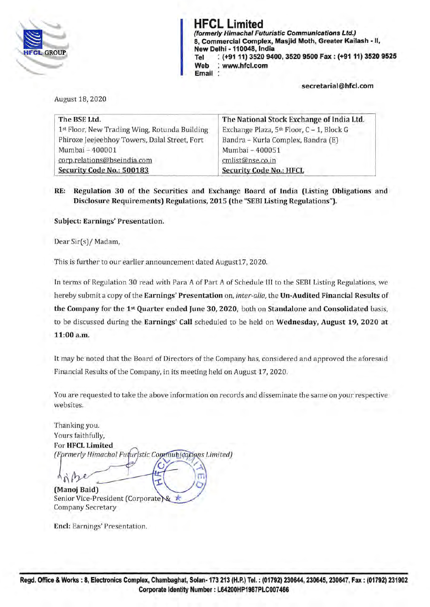

HFCL Limited {formerly Himachal Futuristic Communications Ltd.) 8, Commercial Complex, Masjid Moth, Greater Kailash - II, New Delhi -110048, India Tel : (+91 11) 3520 9400, 3520 9500 Fax: (+9111) 3520 9525 Web : www.hfcl.com Email

secretarial@hfcl.com

August 18, 2020

| The BSE Ltd.                                  | The National Stock Exchange of India Ltd. |
|-----------------------------------------------|-------------------------------------------|
| 1st Floor, New Trading Wing, Rotunda Building | Exchange Plaza, 5th Floor, C - 1, Block G |
| Phiroze Jeejeebhoy Towers, Dalal Street, Fort | Bandra - Kurla Complex, Bandra (E)        |
| Mumbai - 400001                               | Mumbai - 400051                           |
| corp.relations@bseindia.com                   | cmlist@nse.co.in                          |
| Security Code No.: 500183                     | <b>Security Code No.: HFCL</b>            |

RE: Regulation 30 of the Securities and Exchange Board of India (Listing Obligations and Disclosure Requirements) Regulations, 2015 (the "SEBI Listing Regulations").

Subject: Earnings' Presentation.

Dear Sir(s)/ Madam,

This is further to our earlier announcement dated August17, 2020.

In terms of Regulation 30 read with Para A of Part A of Schedule lii to the SEBI Listing Regulations, we hereby submit a copy of the Earnings' Presentation on, *inter-alia,* the Un-Audited Financial Results of the Company for the 1st Quarter ended June 30, 2020, both on Standalone and Consolidated basis, to be discussed during the Earnings' Call scheduled to be held on Wednesday, August 19, 2020 at 11:00 a.m.

It may be noted that the Board of Directors of the Company has, considered and approved the aforesaid Financial Results of the Company, in its meeting held on August 17, 2020.

You are requested to take the above information on records and disseminate the same on your respective websites.

Thanking you. Yours faithfully, For HFCL Limited (Formerly Himachal Futuristic Communications Limited)

 $n/b$ (Manoj Baid)

Senior Vice-President (Corporate) & Company Secretary

End: Earnings' Presentation.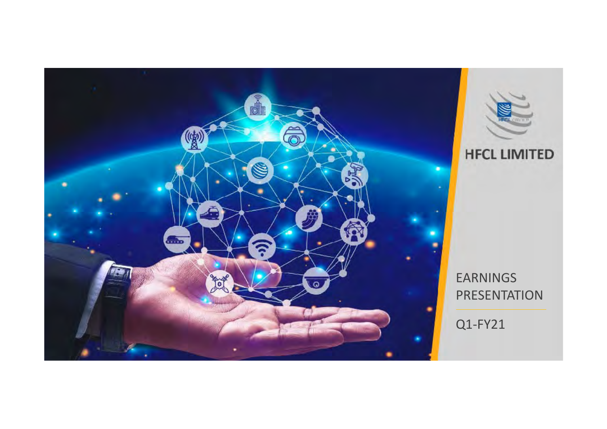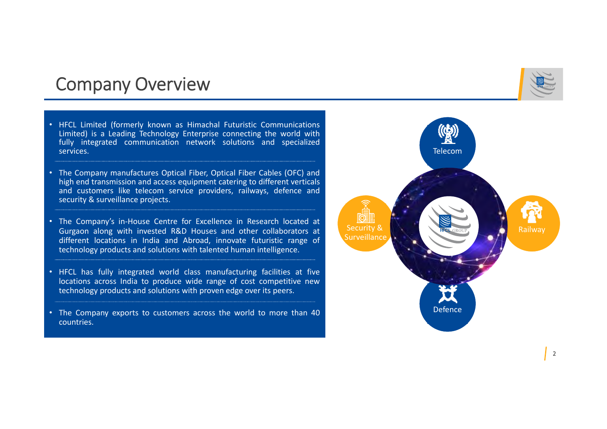### Company Overview

- HFCL Limited (formerly known as Himachal Futuristic Communications Limited) is <sup>a</sup> Leading Technology Enterprise connecting the world with fully integrated communication network solutions and specialized services.
- • The Company manufactures Optical Fiber, Optical Fiber Cables (OFC) and high end transmission and access equipment catering to different verticals and customers like telecom service providers, railways, defence and security & surveillance projects.
- The Company's in‐House Centre for Excellence in Research located at Gurgaon along with invested R&D Houses and other collaborators at different locations in India and Abroad, innovate futuristic range of technology products and solutions with talented human intelligence.
- HFCL has fully integrated world class manufacturing facilities at five locations across India to produce wide range of cost competitive new technology products and solutions with proven edge over its peers.
- The Company exports to customers across the world to more than 40 countries.

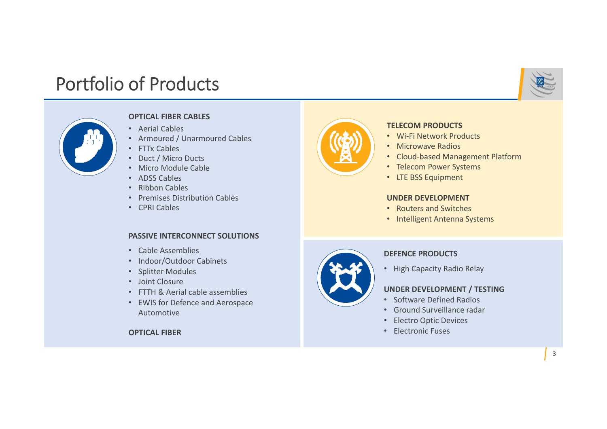## Portfolio of Products





- Aerial Cables
- Armoured / Unarmoured Cables
- FTTx Cables
- Duct / Micro Ducts
- Micro Module Cable
- ADSS Cables
- Ribbon Cables
- Premises Distribution Cables
- CPRI Cables

### **PASSIVE INTERCONNECT SOLUTIONS**

- Cable Assemblies
- Indoor/Outdoor Cabinets
- Splitter Modules
- Joint Closure
- FTTH & Aerial cable assemblies
- EWIS for Defence and Aerospace Automotive

**OPTICAL FIBER**



### **TELECOM PRODUCTS**

- Wi‐Fi Network Products
- Microwave Radios
- Cloud‐based Management Platform
- Telecom Power Systems
- LTE BSS Equipment

### **UNDER DEVELOPMENT**

- Routers and Switches
- Intelligent Antenna Systems



### **DEFENCE PRODUCTS**

• High Capacity Radio Relay

### **UNDER DEVELOPMENT / TESTING**

- Software Defined Radios
- Ground Surveillance radar
- Electro Optic Devices
- Electronic Fuses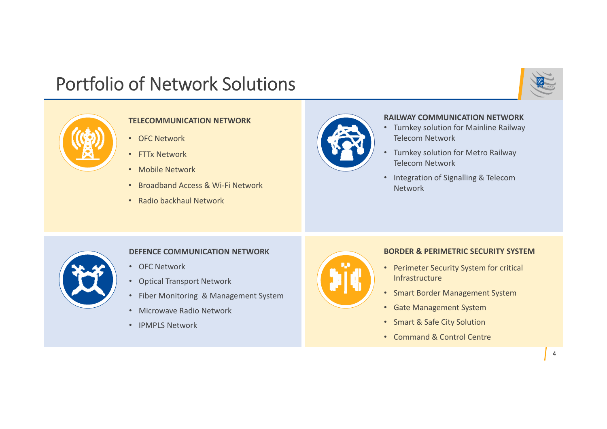## Portfolio of Network Solutions



### **TELECOMMUNICATION NETWORK**

- OFC Network
- FTTx Network
- Mobile Network
- Broadband Access & Wi‐Fi Network
- Radio backhaul Network



#### **RAILWAY COMMUNICATION NETWORK**

- Turnkey solution for Mainline Railway Telecom Network
- • Turnkey solution for Metro Railway Telecom Network
- Integration of Signalling & Telecom Network



### **DEFENCE COMMUNICATION NETWORK**

- OFC Network
- Optical Transport Network
- Fiber Monitoring & Management System
- Microwave Radio Network
- IPMPLS Network



### **BORDER & PERIMETRIC SECURITY SYSTEM**

- Perimeter Security System for critical Infrastructure
- Smart Border Management System
- Gate Management System
- Smart & Safe City Solution
- Command & Control Centre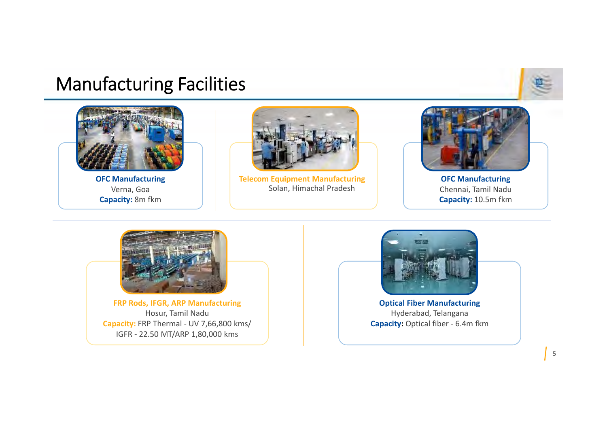## Manufacturing Facilities



**OFC Manufacturing** Verna, Goa **Capacity:** 8m fkm



**Telecom Equipment Manufacturing** Solan, Himachal Pradesh



**OFC Manufacturing** Chennai, Tamil Nadu **Capacity:** 10.5m fkm



**FRP Rods, IFGR, ARP Manufacturing**  Hosur, Tamil Nadu **Capacity:** FRP Thermal ‐ UV 7,66,800 kms/ IGFR ‐ 22.50 MT/ARP 1,80,000 kms



**Optical Fiber Manufacturing** Hyderabad, Telangana **Capacity: Optical fiber - 6.4m fkm**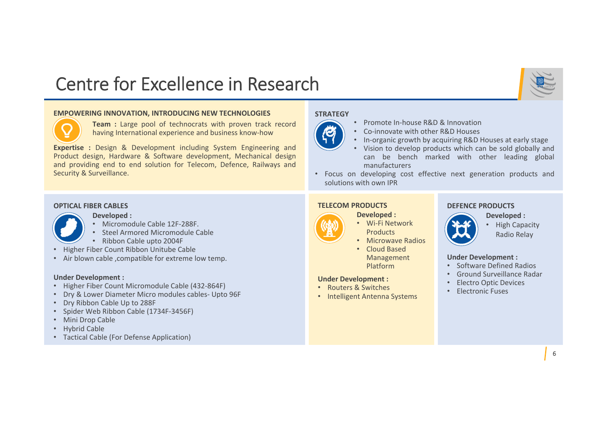## Centre for Excellence in Research

#### **EMPOWERING INNOVATION, INTRODUCING NEW TECHNOLOGIES**



**Team :** Large pool of technocrats with proven track record having International experience and business know‐how

**Expertise :** Design & Development including System Engineering and Product design, Hardware & Software development, Mechanical design and providing end to end solution for Telecom, Defence, Railways and Security & Surveillance.

#### **OPTICAL FIBER CABLES**



**Developed :**

- Micromodule Cable 12F‐288F.
- •Steel Armored Micromodule Cable
- Ribbon Cable upto 2004F
- Higher Fiber Count Ribbon Unitube Cable
- Air blown cable ,compatible for extreme low temp.

#### **Under Development :**

- Higher Fiber Count Micromodule Cable (432‐864F)
- Dry & Lower Diameter Micro modules cables‐ Upto 96F
- Dry Ribbon Cable Up to 288F
- Spider Web Ribbon Cable (1734F‐3456F)
- Mini Drop Cable
- Hybrid Cable
- Tactical Cable (For Defense Application)

#### **STRATEGY**



- Promote In-house R&D & Innovation
- Co‐innovate with other R&D Houses
- •In‐organic growth by acquiring R&D Houses at early stage
- • Vision to develop products which can be sold globally and can be bench marked with other leading global manufacturers
- Focus on developing cost effective next generation products and solutions with own IPR

#### **TELECOM PRODUCTS**

#### **Developed :**

- Wi‐Fi Network Products
- Microwave Radios
- Cloud Based Management Platform

#### **Under Development :**

- Routers & Switches
- Intelligent Antenna Systems

#### **DEFENCE PRODUCTS**



• High Capacity Radio Relay

#### **Under Development :**

- Software Defined Radios
- Ground Surveillance Radar
- Electro Optic Devices
- Electronic Fuses

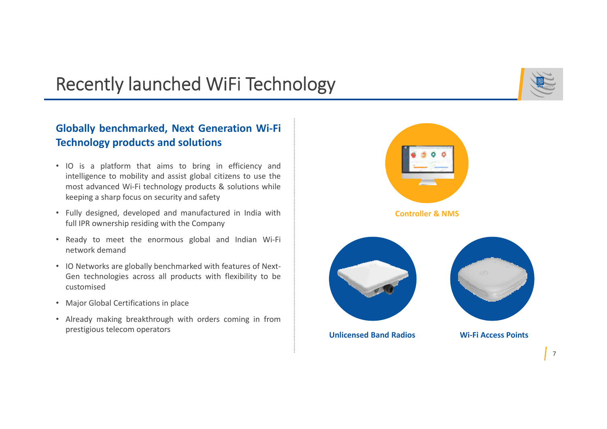## Recently launched WiFi Technology

### **Globally benchmarked, Next Generation Wi‐Fi Technology products and solutions**

- IO is <sup>a</sup> platform that aims to bring in efficiency and intelligence to mobility and assist global citizens to use the most advanced Wi‐Fi technology products & solutions while keeping <sup>a</sup> sharp focus on security and safety
- Fully designed, developed and manufactured in India with full IPR ownership residing with the Company
- Ready to meet the enormous global and Indian Wi‐Fi network demand
- IO Networks are globally benchmarked with features of Next-Gen technologies across all products with flexibility to be customised
- Major Global Certifications in place
- Already making breakthrough with orders coming in from prestigious telecom operators

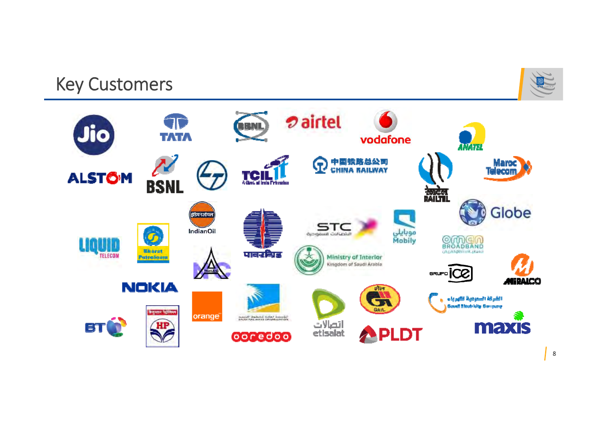## Key Customers



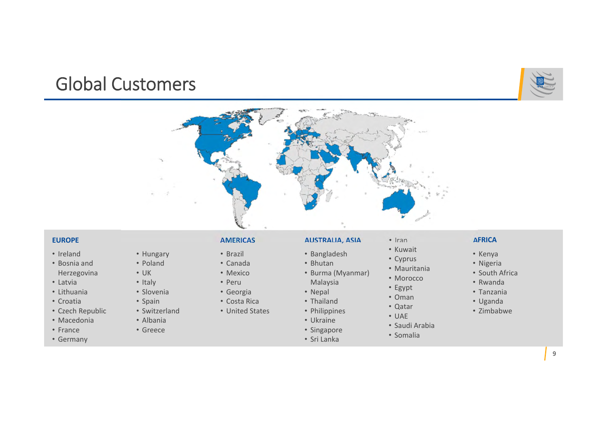## Global Customers

• Hungary • Poland • UK• Italy • Slovenia • Spain • Switzerland • Albania• Greece





#### **EUROPE**

- Ireland
- Bosnia and Herzegovina
- Latvia
- Lithuania
- Croatia
- Czech Republic
- Macedonia
- France
- Germany
- **AMERICAS**
- Brazil
- Canada
	- Mexico• Peru
- Georgia
- Costa Rica
- United States
- 
- Ukraine
- Singapore
- Sri Lanka

**AUSTRALIA, ASIA**

• Burma (Myanmar)

• Bangladesh • Bhutan

Malaysia • Nepal • Thailand • Philippines

- Iran
	- Kuwait
	- Cyprus
	- Mauritania
	- Morocco
	- Egypt
	- Oman
	- Qatar
	- UAE
	-
	- Saudi Arabia
	- Somalia
- **AFRICA**
- Kenya
- Nigeria
- South Africa
- Rwanda
- Tanzania
- Uganda
- Zimbabwe

9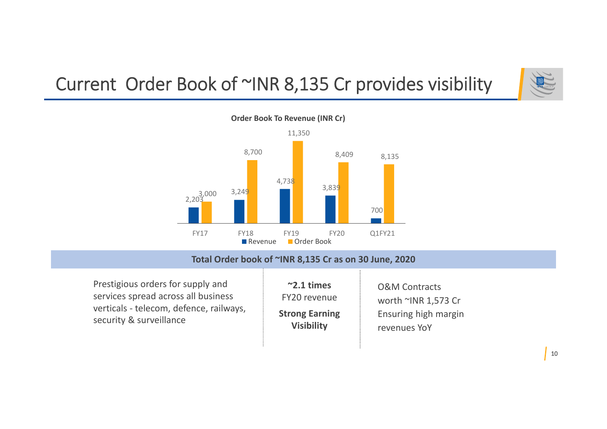# Current Order Book of ~INR 8,135 Cr provides visibility





### **Total Order book of ~INR 8,135 Cr as on 30 June, 2020**

Prestigious orders for supply and services spread across all business verticals ‐ telecom, defence, railways, security & surveillance

| $\sim$ 2.1 times      | <b>O&amp;M Contracts</b> |  |
|-----------------------|--------------------------|--|
| FY20 revenue          | worth ~INR 1,573 Cr      |  |
| <b>Strong Earning</b> | Ensuring high margin     |  |
| <b>Visibility</b>     | revenues YoY             |  |

÷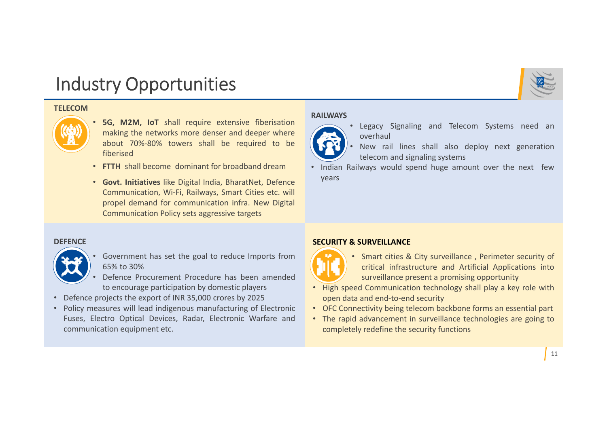## Industry Opportunities

#### **TELECOM**



- • **5G, M2M, IoT** shall require extensive fiberisation making the networks more denser and deeper where about 70%‐80% towers shall be required to be fiberised
- **FTTH** shall become dominant for broadband dream
- **Govt. Initiatives** like Digital India, BharatNet, Defence Communication, Wi‐Fi, Railways, Smart Cities etc. will propel demand for communication infra. New Digital Communication Policy sets aggressive targets

#### **DEFENCE**



- • Government has set the goal to reduce Imports from 65% to 30%
- • Defence Procurement Procedure has been amended to encourage participation by domestic players
- Defence projects the export of INR 35,000 crores by 2025
- Policy measures will lead indigenous manufacturing of Electronic Fuses, Electro Optical Devices, Radar, Electronic Warfare and communication equipment etc.

#### **RAILWAYS**



- • New rail lines shall also deploy next generation telecom and signaling systems
- • Indian Railways would spend huge amount over the next few years

#### **SECURITY & SURVEILLANCE**



- Smart cities & City surveillance , Perimeter security of critical infrastructure and Artificial Applications into surveillance present <sup>a</sup> promising opportunity
- High speed Communication technology shall play <sup>a</sup> key role with open data and end‐to‐end security
- OFC Connectivity being telecom backbone forms an essential part
- The rapid advancement in surveillance technologies are going to completely redefine the security functions

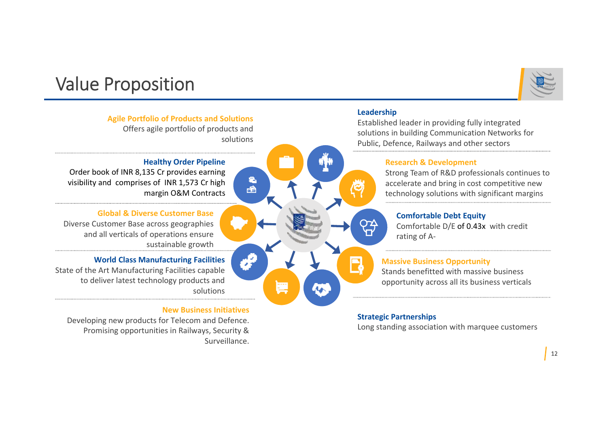

#### **Leadership** Established leader in providing fully integrated solutions in building Communication Networks for solutionsPublic, Defence, Railways and other sectors**Healthy Order Pipeline Research & Development** Strong Team of R&D professionals continues to  $\epsilon$ accelerate and bring in cost competitive new  $\Rightarrow$ margin O&M Contracts technology solutions with significant margins **Comfortable Debt Equity** Comfortable D/E of 0.43x with credit rating of A‐ sustainable growth

#### **Massive Business Opportunity**

Stands benefitted with massive business opportunity across all its business verticals

### **Strategic Partnerships**

Long standing association with marquee customers

## Value Proposition

**Agile Portfolio of Products and Solutions** Offers agile portfolio of products and

## Order book of INR 8,135 Cr provides earning visibility and comprises of INR 1,573 Cr high

### **Global & Diverse Customer Base**

Diverse Customer Base across geographies and all verticals of operations ensure

### **World Class Manufacturing Facilities**

State of the Art Manufacturing Facilities capable to deliver latest technology products and solutions

### **New Business Initiatives**

Developing new products for Telecom and Defence. Promising opportunities in Railways, Security & Surveillance.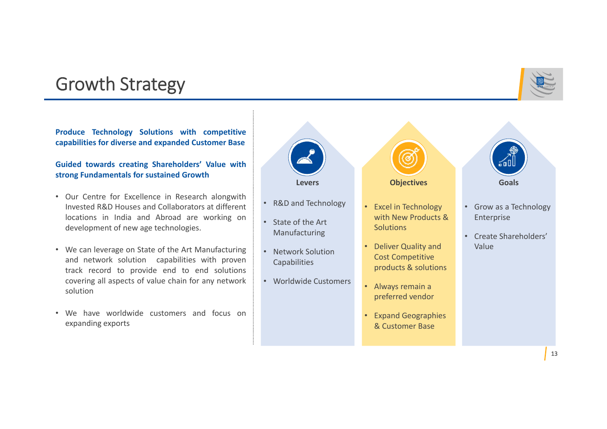## Growth Strategy

### **Produce Technology Solutions with competitive capabilities for diverse and expanded Customer Base**

### **Guided towards creating Shareholders' Value with strong Fundamentals for sustained Growth**

• Our Centre for Excellence in Research alongwith Invested R&D Houses and Collaborators at different locations in India and Abroad are working on development of new age technologies.

•

•

- We can leverage on State of the Art Manufacturing and network solution capabilities with proven track record to provide end to end solutions covering all aspects of value chain for any network solution
- We have worldwide customers and focus on expanding exports

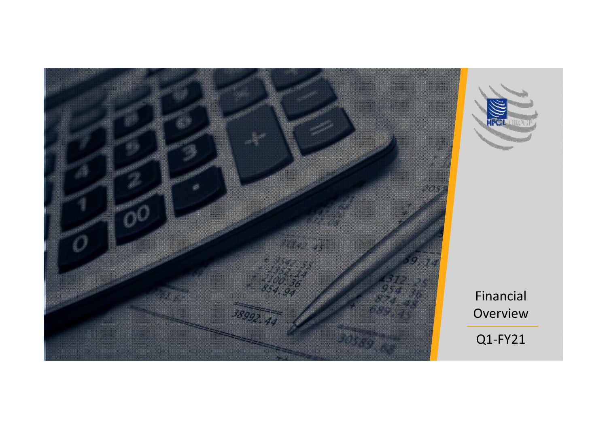



Financial Overview

Q1‐FY21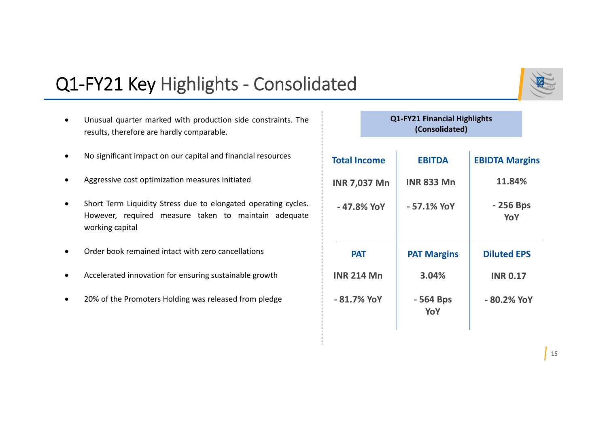## Q1‐FY21 Key Highlights ‐ Consolidated

- 0 Unusual quarter marked with production side constraints. The results, therefore are hardly comparable.
- $\bullet$ No significant impact on our capital and financial resources
- 0 Aggressive cost optimization measures initiated
- $\bullet$  Short Term Liquidity Stress due to elongated operating cycles. However, required measure taken to maintain adequate working capital
- Ō Order book remained intact with zero cancellations
- 0 Accelerated innovation for ensuring sustainable growth
- $\bullet$ 20% of the Promoters Holding was released from pledge

### **Q1‐FY21 Financial Highlights (Consolidated)**

| <b>Total Income</b> | <b>EBITDA</b>      | <b>EBIDTA Margins</b> |
|---------------------|--------------------|-----------------------|
| <b>INR 7,037 Mn</b> | <b>INR 833 Mn</b>  | 11.84%                |
| - 47.8% YoY         | $-57.1\%$ YoY      | - 256 Bps<br>YoY      |
| <b>PAT</b>          | <b>PAT Margins</b> | <b>Diluted EPS</b>    |
| <b>INR 214 Mn</b>   | 3.04%              | <b>INR 0.17</b>       |
| $-81.7\%$ YoY       | - 564 Bps<br>YoY   | -80.2% YoY            |

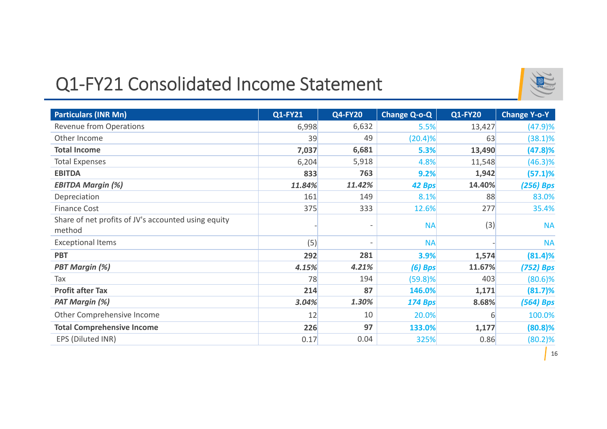## Q1‐FY21 Consolidated Income Statement



| <b>Particulars (INR Mn)</b>                                   | Q1-FY21 | <b>Q4-FY20</b> | <b>Change Q-o-Q</b> | <b>Q1-FY20</b> | <b>Change Y-o-Y</b> |
|---------------------------------------------------------------|---------|----------------|---------------------|----------------|---------------------|
| <b>Revenue from Operations</b>                                | 6,998   | 6,632          | 5.5%                | 13,427         | (47.9)%             |
| Other Income                                                  | 39      | 49             | (20.4)%             | 63             | (38.1)%             |
| <b>Total Income</b>                                           | 7,037   | 6,681          | 5.3%                | 13,490         | (47.8)%             |
| <b>Total Expenses</b>                                         | 6,204   | 5,918          | 4.8%                | 11,548         | $(46.3)\%$          |
| <b>EBITDA</b>                                                 | 833     | 763            | 9.2%                | 1,942          | (57.1)%             |
| <b>EBITDA Margin (%)</b>                                      | 11.84%  | 11.42%         | 42 Bps              | 14.40%         | (256) Bps           |
| Depreciation                                                  | 161     | 149            | 8.1%                | 88             | 83.0%               |
| <b>Finance Cost</b>                                           | 375     | 333            | 12.6%               | 277            | 35.4%               |
| Share of net profits of JV's accounted using equity<br>method |         |                | <b>NA</b>           | (3)            | <b>NA</b>           |
| <b>Exceptional Items</b>                                      | (5)     |                | <b>NA</b>           |                | <b>NA</b>           |
| <b>PBT</b>                                                    | 292     | 281            | 3.9%                | 1,574          | (81.4)%             |
| <b>PBT Margin (%)</b>                                         | 4.15%   | 4.21%          | $(6)$ Bps           | 11.67%         | (752) Bps           |
| Tax                                                           | 78      | 194            | $(59.8)\%$          | 403            | $(80.6)\%$          |
| <b>Profit after Tax</b>                                       | 214     | 87             | 146.0%              | 1,171          | (81.7)%             |
| <b>PAT Margin (%)</b>                                         | 3.04%   | 1.30%          | <b>174 Bps</b>      | 8.68%          | (564) Bps           |
| Other Comprehensive Income                                    | 12      | 10             | 20.0%               | 6              | 100.0%              |
| <b>Total Comprehensive Income</b>                             | 226     | 97             | 133.0%              | 1,177          | $(80.8)$ %          |
| EPS (Diluted INR)                                             | 0.17    | 0.04           | 325%                | 0.86           | $(80.2)\%$          |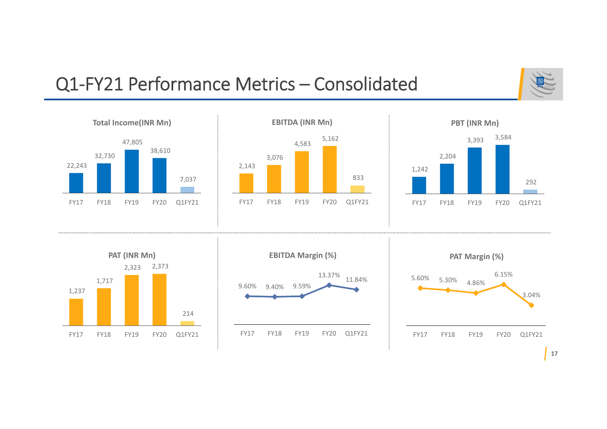## Q1‐FY21 Performance Metrics – Consolidated





17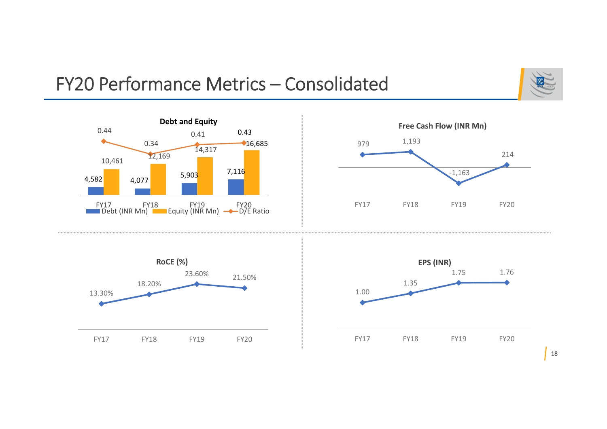## FY20 Performance Metrics – Consolidated





18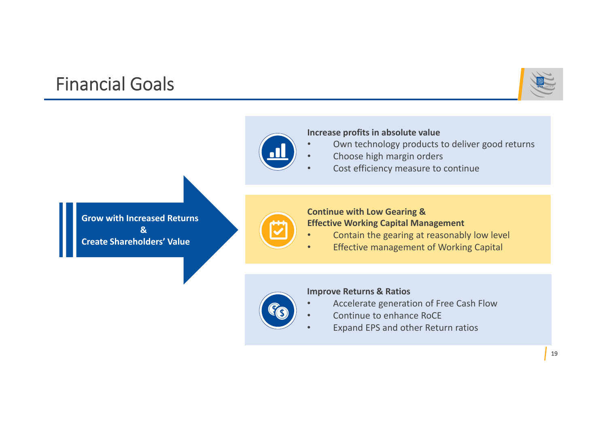## Financial Goals





### **Increase profits in absolute value**

- •Own technology products to deliver good returns
- •Choose high margin orders
- •Cost efficiency measure to continue

**Grow with Increased Returns &Create Shareholders' Value**



### **Continue with Low Gearing & Effective Working Capital Management**

- •Contain the gearing at reasonably low level
- •Effective management of Working Capital



•

### **Improve Returns & Ratios**

- Accelerate generation of Free Cash Flow
- •Continue to enhance RoCE
- •Expand EPS and other Return ratios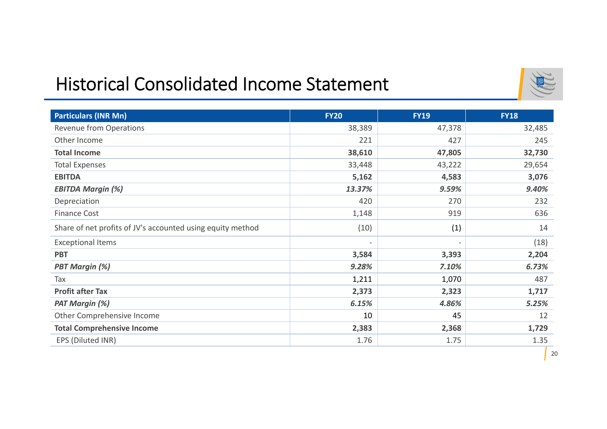## Historical Consolidated Income Statement



| <b>Particulars (INR Mn)</b>                                | <b>FY20</b>              | <b>FY19</b>              | <b>FY18</b> |
|------------------------------------------------------------|--------------------------|--------------------------|-------------|
| <b>Revenue from Operations</b>                             | 38,389                   | 47,378                   | 32,485      |
| Other Income                                               | 221                      | 427                      | 245         |
| <b>Total Income</b>                                        | 38,610                   | 47,805                   | 32,730      |
| <b>Total Expenses</b>                                      | 33,448                   | 43,222                   | 29,654      |
| <b>EBITDA</b>                                              | 5,162                    | 4,583                    | 3,076       |
| <b>EBITDA Margin (%)</b>                                   | 13.37%                   | 9.59%                    | 9.40%       |
| Depreciation                                               | 420                      | 270                      | 232         |
| <b>Finance Cost</b>                                        | 1,148                    | 919                      | 636         |
| Share of net profits of JV's accounted using equity method | (10)                     | (1)                      | 14          |
| <b>Exceptional Items</b>                                   | $\overline{\phantom{a}}$ | $\overline{\phantom{a}}$ | (18)        |
| <b>PBT</b>                                                 | 3,584                    | 3,393                    | 2,204       |
| <b>PBT Margin (%)</b>                                      | 9.28%                    | 7.10%                    | 6.73%       |
| Tax                                                        | 1,211                    | 1,070                    | 487         |
| <b>Profit after Tax</b>                                    | 2,373                    | 2,323                    | 1,717       |
| <b>PAT Margin (%)</b>                                      | 6.15%                    | 4.86%                    | 5.25%       |
| Other Comprehensive Income                                 | 10                       | 45                       | 12          |
| <b>Total Comprehensive Income</b>                          | 2,383                    | 2,368                    | 1,729       |
| EPS (Diluted INR)                                          | 1.76                     | 1.75                     | 1.35        |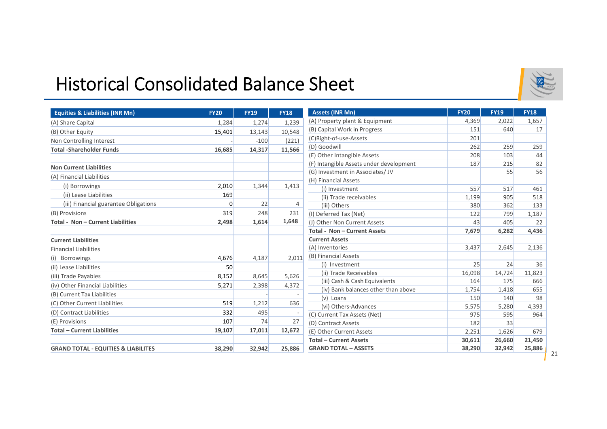### Historical Consolidated Balance Sheet

| <b>Equities &amp; Liabilities (INR Mn)</b>     | <b>FY20</b> | <b>FY19</b> | <b>FY18</b> | <b>Assets (INR Mn)</b>                  | <b>FY20</b> | <b>FY19</b> | <b>FY18</b> |
|------------------------------------------------|-------------|-------------|-------------|-----------------------------------------|-------------|-------------|-------------|
| (A) Share Capital                              | 1,284       | 1,274       | 1,239       | (A) Property plant & Equipment          | 4,369       | 2,022       | 1,657       |
| (B) Other Equity                               | 15,401      | 13,143      | 10,548      | (B) Capital Work in Progress            | 151         | 640         | 17          |
| Non Controlling Interest                       |             | $-100$      | (221)       | (C)Right-of-use-Assets                  | 201         |             |             |
| <b>Total -Shareholder Funds</b>                | 16,685      | 14,317      | 11,566      | (D) Goodwill                            | 262         | 259         | 259         |
|                                                |             |             |             | (E) Other Intangible Assets             | 208         | 103         | 44          |
| <b>Non Current Liabilities</b>                 |             |             |             | (F) Intangible Assets under development | 187         | 215         | 82          |
| (A) Financial Liabilities                      |             |             |             | (G) Investment in Associates/ JV        |             | 55          | 56          |
| (i) Borrowings                                 | 2,010       | 1,344       | 1,413       | (H) Financial Assets                    |             |             |             |
| (ii) Lease Liabilities                         | 169         |             |             | (i) Investment                          | 557         | 517         | 461         |
|                                                |             |             |             | (ii) Trade receivables                  | 1,199       | 905         | 518         |
| (iii) Financial guarantee Obligations          | 0           | 22          | 4           | (iii) Others                            | 380         | 362         | 133         |
| (B) Provisions                                 | 319         | 248         | 231         | (I) Deferred Tax (Net)                  | 122         | 799         | 1,187       |
| <b>Total - Non - Current Liabilities</b>       | 2,498       | 1,614       | 1,648       | (J) Other Non Current Assets            | 43          | 405         | 22          |
|                                                |             |             |             | Total - Non - Current Assets            | 7,679       | 6,282       | 4,436       |
| <b>Current Liabilities</b>                     |             |             |             | <b>Current Assets</b>                   |             |             |             |
| <b>Financial Liabilities</b>                   |             |             |             | (A) Inventories                         | 3,437       | 2,645       | 2,136       |
| (i) Borrowings                                 | 4,676       | 4,187       | 2,011       | (B) Financial Assets                    |             |             |             |
| (ii) Lease Liabilities                         | 50          |             |             | (i) Investment                          | 25          | 24          | 36          |
| (iii) Trade Payables                           | 8,152       | 8,645       | 5,626       | (ii) Trade Receivables                  | 16,098      | 14,724      | 11,823      |
| (iv) Other Financial Liabilities               | 5,271       | 2,398       | 4,372       | (iii) Cash & Cash Equivalents           | 164         | 175         | 666         |
| (B) Current Tax Liabilities                    |             |             |             | (iv) Bank balances other than above     | 1,754       | 1,418       | 655         |
| (C) Other Current Liabilities                  | 519         | 1,212       | 636         | (v) Loans                               | 150         | 140         | 98          |
|                                                |             |             |             | (vi) Others-Advances                    | 5,575       | 5,280       | 4,393       |
| (D) Contract Liabilities                       | 332         | 495         |             | (C) Current Tax Assets (Net)            | 975         | 595         | 964         |
| (E) Provisions                                 | 107         | 74          | 27          | (D) Contract Assets                     | 182         | 33          |             |
| <b>Total - Current Liabilities</b>             | 19,107      | 17,011      | 12,672      | (E) Other Current Assets                | 2,251       | 1,626       | 679         |
|                                                |             |             |             | <b>Total - Current Assets</b>           | 30,611      | 26,660      | 21,450      |
| <b>GRAND TOTAL - EQUITIES &amp; LIABILITES</b> | 38,290      | 32,942      | 25,886      | <b>GRAND TOTAL - ASSETS</b>             | 38,290      | 32,942      | 25,886      |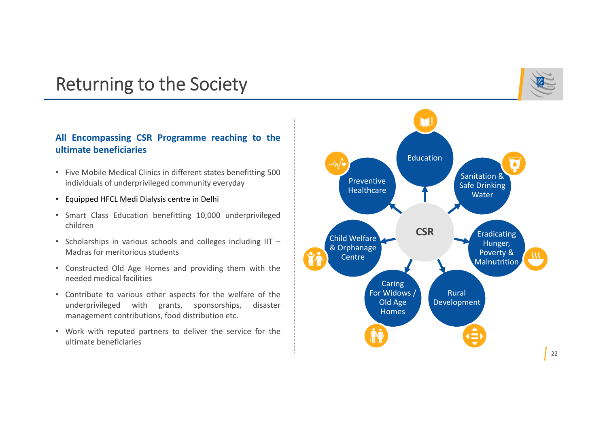## Returning to the Society

### **All Encompassing CSR Programme reaching to the ultimate beneficiaries**

- Five Mobile Medical Clinics in different states benefitting 500 individuals of underprivileged community everyday
- Equipped HFCL Medi Dialysis centre in Delhi
- Smart Class Education benefitting 10,000 underprivileged children
- Scholarships in various schools and colleges including IIT Madras for meritorious students
- Constructed Old Age Homes and providing them with the needed medical facilities
- Contribute to various other aspects for the welfare of the underprivileged with grants, sponsorships, disaster management contributions, food distribution etc.
- Work with reputed partners to deliver the service for the ultimate beneficiaries

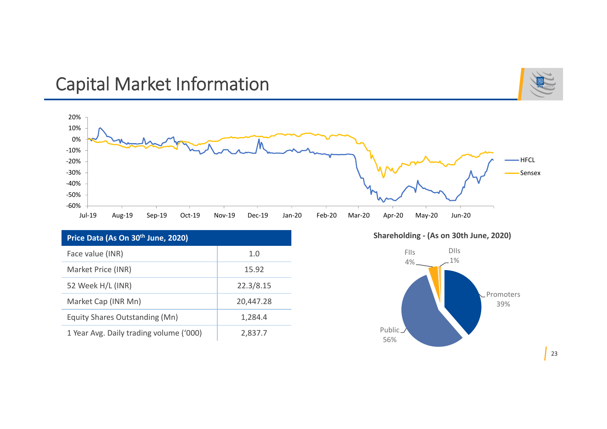## Capital Market Information





| Price Data (As On 30 <sup>th</sup> June, 2020) |           |  |  |  |  |
|------------------------------------------------|-----------|--|--|--|--|
| Face value (INR)                               | 1.0       |  |  |  |  |
| Market Price (INR)                             | 15.92     |  |  |  |  |
| 52 Week H/L (INR)                              | 22.3/8.15 |  |  |  |  |
| Market Cap (INR Mn)                            | 20,447.28 |  |  |  |  |
| Equity Shares Outstanding (Mn)                 | 1,284.4   |  |  |  |  |
| 1 Year Avg. Daily trading volume ('000)        | 2,837.7   |  |  |  |  |

**Shareholding ‐ (As on 30th June, 2020)**



23